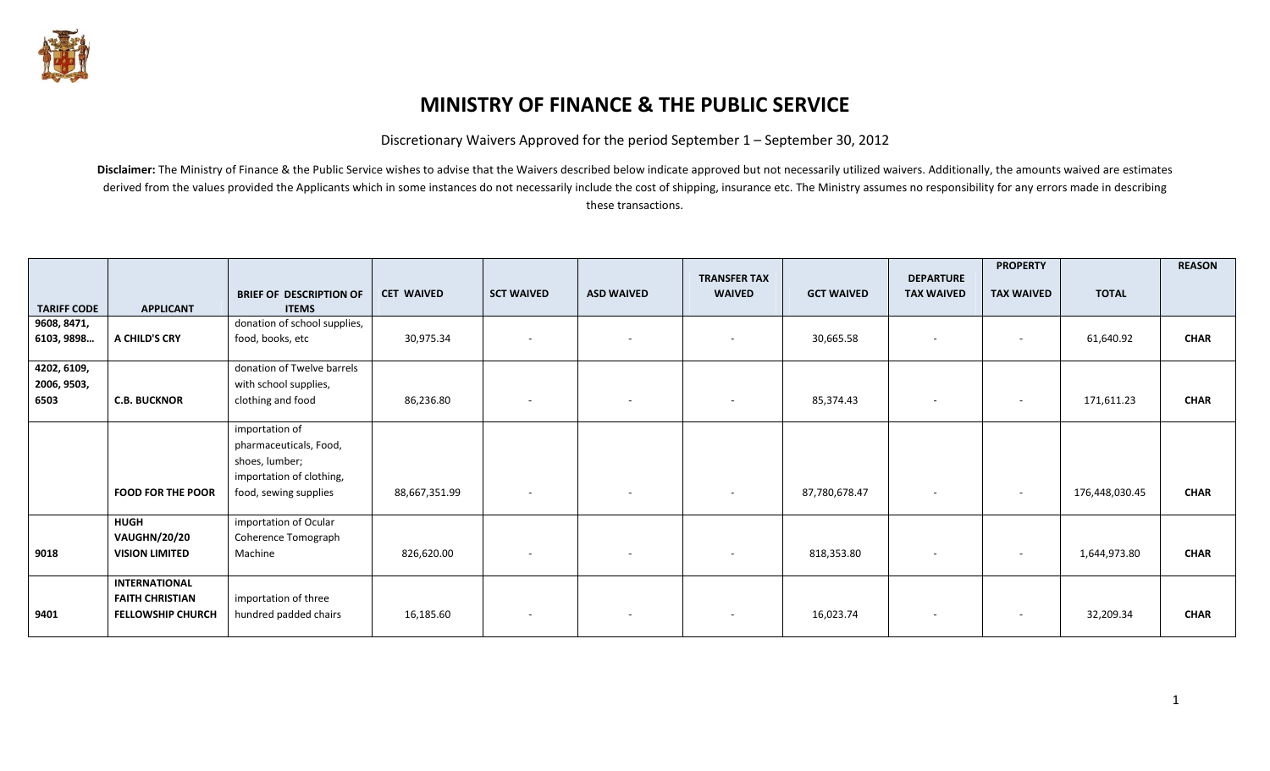

## MINISTRY OF FINANCE & THE PUBLIC SERVICE

Discretionary Waivers Approved for the period September 1 – September 30, 2012

Disclaimer: The Ministry of Finance & the Public Service wishes to advise that the Waivers described below indicate approved but not necessarily utilized waivers. Additionally, the amounts waived are estimates derived from the values provided the Applicants which in some instances do not necessarily include the cost of shipping, insurance etc. The Ministry assumes no responsibility for any errors made in describing these transactions.

|                     |                          |                                                |                   |                          |                          | <b>TRANSFER TAX</b> |                   | <b>DEPARTURE</b>         | <b>PROPERTY</b>          |                | <b>REASON</b> |
|---------------------|--------------------------|------------------------------------------------|-------------------|--------------------------|--------------------------|---------------------|-------------------|--------------------------|--------------------------|----------------|---------------|
| <b>TARIFF CODE</b>  | <b>APPLICANT</b>         | <b>BRIEF OF DESCRIPTION OF</b><br><b>ITEMS</b> | <b>CET WAIVED</b> | <b>SCT WAIVED</b>        | <b>ASD WAIVED</b>        | <b>WAIVED</b>       | <b>GCT WAIVED</b> | <b>TAX WAIVED</b>        | <b>TAX WAIVED</b>        | <b>TOTAL</b>   |               |
| 9608, 8471,         |                          | donation of school supplies,                   |                   |                          |                          |                     |                   |                          |                          |                |               |
| 6103, 9898          | A CHILD'S CRY            | food, books, etc                               | 30,975.34         | $\sim$                   | $\overline{\phantom{a}}$ | $\sim$              | 30,665.58         | $\overline{\phantom{a}}$ |                          | 61,640.92      | <b>CHAR</b>   |
| 4202, 6109,         |                          | donation of Twelve barrels                     |                   |                          |                          |                     |                   |                          |                          |                |               |
| 2006, 9503,<br>6503 | <b>C.B. BUCKNOR</b>      | with school supplies,<br>clothing and food     | 86,236.80         | $\sim$                   | $\sim$                   | $\sim$              | 85,374.43         | $\overline{\phantom{a}}$ | $\sim$                   | 171,611.23     | <b>CHAR</b>   |
|                     |                          |                                                |                   |                          |                          |                     |                   |                          |                          |                |               |
|                     |                          | importation of                                 |                   |                          |                          |                     |                   |                          |                          |                |               |
|                     |                          | pharmaceuticals, Food,<br>shoes, lumber;       |                   |                          |                          |                     |                   |                          |                          |                |               |
|                     |                          | importation of clothing,                       |                   |                          |                          |                     |                   |                          |                          |                |               |
|                     | <b>FOOD FOR THE POOR</b> | food, sewing supplies                          | 88,667,351.99     | $\sim$                   | $\overline{\phantom{0}}$ | $\sim$              | 87,780,678.47     | $\sim$                   | $\overline{\phantom{a}}$ | 176,448,030.45 | <b>CHAR</b>   |
|                     | <b>HUGH</b>              | importation of Ocular                          |                   |                          |                          |                     |                   |                          |                          |                |               |
|                     | <b>VAUGHN/20/20</b>      | Coherence Tomograph                            |                   |                          |                          |                     |                   |                          |                          |                |               |
| 9018                | <b>VISION LIMITED</b>    | Machine                                        | 826,620.00        | $\sim$                   |                          | $\sim$              | 818,353.80        | $\overline{\phantom{a}}$ | $\overline{\phantom{a}}$ | 1,644,973.80   | <b>CHAR</b>   |
|                     | <b>INTERNATIONAL</b>     |                                                |                   |                          |                          |                     |                   |                          |                          |                |               |
|                     | <b>FAITH CHRISTIAN</b>   | importation of three                           |                   |                          |                          |                     |                   |                          |                          |                |               |
| 9401                | <b>FELLOWSHIP CHURCH</b> | hundred padded chairs                          | 16,185.60         | $\overline{\phantom{a}}$ | $\sim$                   | $\sim$              | 16,023.74         | $\overline{\phantom{a}}$ | $\overline{\phantom{a}}$ | 32,209.34      | <b>CHAR</b>   |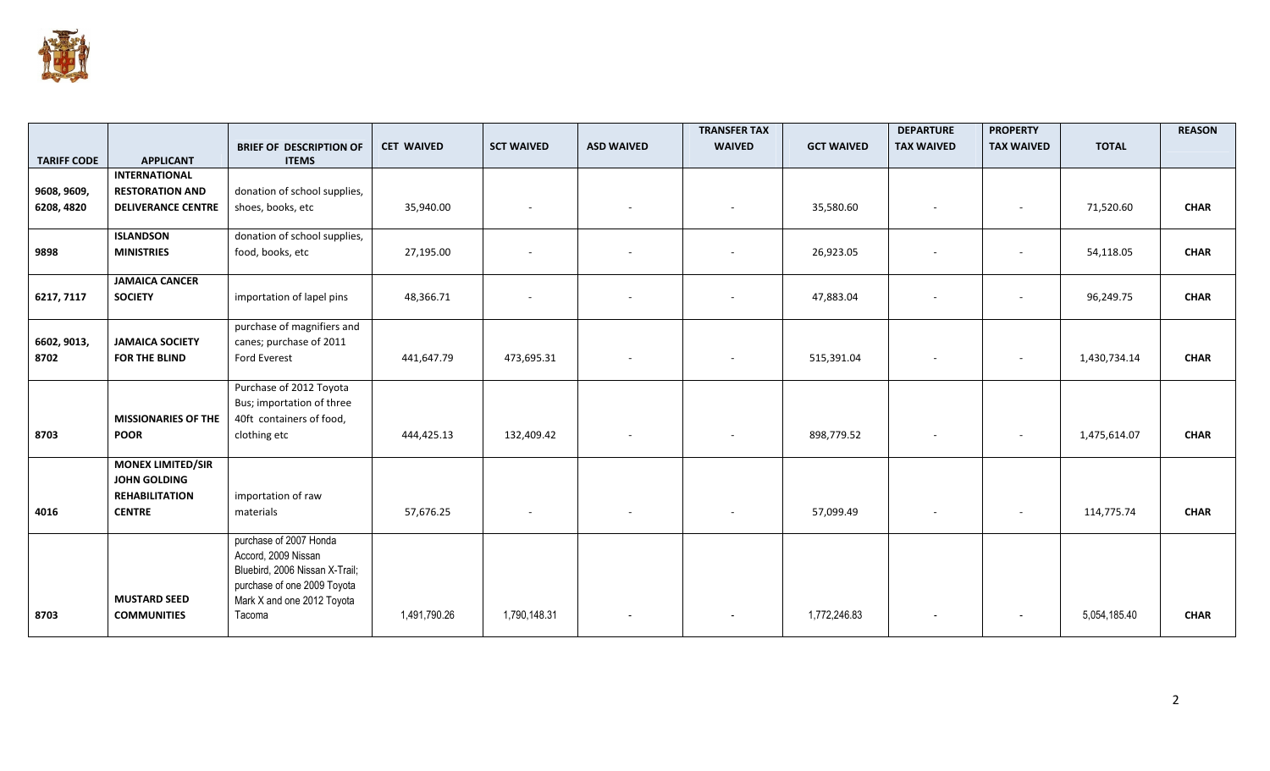

|                    |                                          |                                                                                                                                              |                   |                   |                          | <b>TRANSFER TAX</b>      |                   | <b>DEPARTURE</b>  | <b>PROPERTY</b>          |              | <b>REASON</b> |
|--------------------|------------------------------------------|----------------------------------------------------------------------------------------------------------------------------------------------|-------------------|-------------------|--------------------------|--------------------------|-------------------|-------------------|--------------------------|--------------|---------------|
|                    |                                          | <b>BRIEF OF DESCRIPTION OF</b>                                                                                                               | <b>CET WAIVED</b> | <b>SCT WAIVED</b> | <b>ASD WAIVED</b>        | <b>WAIVED</b>            | <b>GCT WAIVED</b> | <b>TAX WAIVED</b> | <b>TAX WAIVED</b>        | <b>TOTAL</b> |               |
| <b>TARIFF CODE</b> | <b>APPLICANT</b><br><b>INTERNATIONAL</b> | <b>ITEMS</b>                                                                                                                                 |                   |                   |                          |                          |                   |                   |                          |              |               |
|                    |                                          |                                                                                                                                              |                   |                   |                          |                          |                   |                   |                          |              |               |
| 9608, 9609,        | <b>RESTORATION AND</b>                   | donation of school supplies,                                                                                                                 |                   |                   |                          |                          |                   |                   |                          |              |               |
| 6208, 4820         | <b>DELIVERANCE CENTRE</b>                | shoes, books, etc                                                                                                                            | 35,940.00         |                   |                          |                          | 35,580.60         |                   | $\overline{\phantom{a}}$ | 71,520.60    | <b>CHAR</b>   |
|                    | <b>ISLANDSON</b>                         | donation of school supplies,                                                                                                                 |                   |                   |                          |                          |                   |                   |                          |              |               |
| 9898               | <b>MINISTRIES</b>                        | food, books, etc                                                                                                                             | 27,195.00         |                   |                          | $\overline{\phantom{a}}$ | 26,923.05         |                   |                          | 54,118.05    | <b>CHAR</b>   |
|                    | <b>JAMAICA CANCER</b>                    |                                                                                                                                              |                   |                   |                          |                          |                   |                   |                          |              |               |
| 6217, 7117         | <b>SOCIETY</b>                           | importation of lapel pins                                                                                                                    | 48,366.71         |                   |                          | $\overline{\phantom{a}}$ | 47,883.04         |                   | $\overline{\phantom{a}}$ | 96,249.75    | <b>CHAR</b>   |
|                    |                                          | purchase of magnifiers and                                                                                                                   |                   |                   |                          |                          |                   |                   |                          |              |               |
| 6602, 9013,        | <b>JAMAICA SOCIETY</b>                   | canes; purchase of 2011                                                                                                                      |                   |                   |                          |                          |                   |                   |                          |              |               |
| 8702               | <b>FOR THE BLIND</b>                     | <b>Ford Everest</b>                                                                                                                          | 441,647.79        | 473,695.31        | $\overline{\phantom{a}}$ | $\sim$                   | 515,391.04        |                   | $\overline{\phantom{a}}$ | 1,430,734.14 | <b>CHAR</b>   |
|                    |                                          | Purchase of 2012 Toyota                                                                                                                      |                   |                   |                          |                          |                   |                   |                          |              |               |
|                    |                                          | Bus; importation of three                                                                                                                    |                   |                   |                          |                          |                   |                   |                          |              |               |
|                    | <b>MISSIONARIES OF THE</b>               | 40ft containers of food,                                                                                                                     |                   |                   |                          |                          |                   |                   |                          |              |               |
| 8703               | <b>POOR</b>                              | clothing etc                                                                                                                                 | 444,425.13        | 132,409.42        | $\overline{\phantom{a}}$ | $\sim$                   | 898,779.52        |                   | $\sim$                   | 1,475,614.07 | <b>CHAR</b>   |
|                    | <b>MONEX LIMITED/SIR</b>                 |                                                                                                                                              |                   |                   |                          |                          |                   |                   |                          |              |               |
|                    | <b>JOHN GOLDING</b>                      |                                                                                                                                              |                   |                   |                          |                          |                   |                   |                          |              |               |
|                    | <b>REHABILITATION</b>                    | importation of raw                                                                                                                           |                   |                   |                          |                          |                   |                   |                          |              |               |
| 4016               | <b>CENTRE</b>                            | materials                                                                                                                                    | 57,676.25         |                   |                          |                          | 57,099.49         |                   |                          | 114,775.74   | <b>CHAR</b>   |
|                    | <b>MUSTARD SEED</b>                      | purchase of 2007 Honda<br>Accord, 2009 Nissan<br>Bluebird, 2006 Nissan X-Trail;<br>purchase of one 2009 Toyota<br>Mark X and one 2012 Toyota |                   |                   |                          |                          |                   |                   |                          |              |               |
| 8703               | <b>COMMUNITIES</b>                       | Tacoma                                                                                                                                       | 1,491,790.26      | 1,790,148.31      | $\overline{\phantom{a}}$ | $\sim$                   | 1,772,246.83      |                   | $\overline{\phantom{a}}$ | 5,054,185.40 | <b>CHAR</b>   |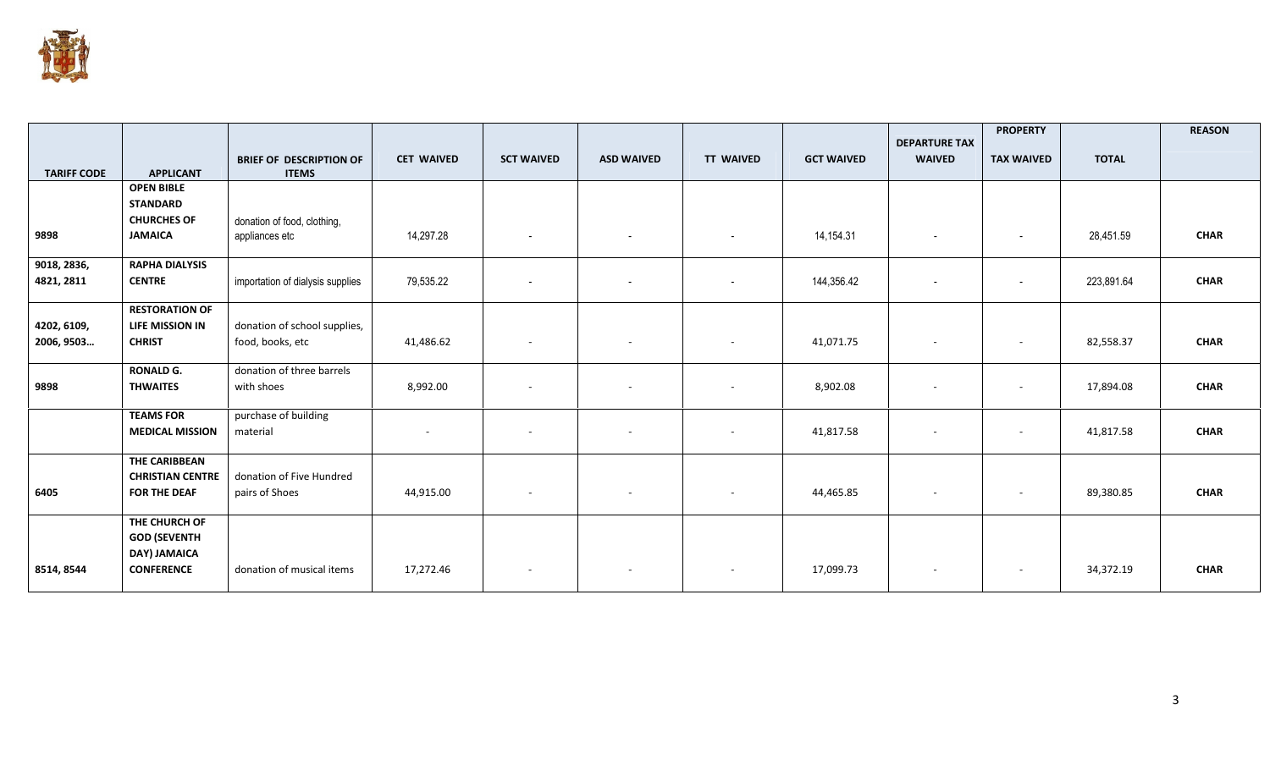

|                           |                                                                        |                                                  |                   |                          |                          |                          |                   | <b>DEPARTURE TAX</b>     | <b>PROPERTY</b>          |              | <b>REASON</b> |
|---------------------------|------------------------------------------------------------------------|--------------------------------------------------|-------------------|--------------------------|--------------------------|--------------------------|-------------------|--------------------------|--------------------------|--------------|---------------|
| <b>TARIFF CODE</b>        | <b>APPLICANT</b>                                                       | <b>BRIEF OF DESCRIPTION OF</b><br><b>ITEMS</b>   | <b>CET WAIVED</b> | <b>SCT WAIVED</b>        | <b>ASD WAIVED</b>        | <b>TT WAIVED</b>         | <b>GCT WAIVED</b> | <b>WAIVED</b>            | <b>TAX WAIVED</b>        | <b>TOTAL</b> |               |
|                           | <b>OPEN BIBLE</b>                                                      |                                                  |                   |                          |                          |                          |                   |                          |                          |              |               |
|                           | <b>STANDARD</b><br><b>CHURCHES OF</b>                                  | donation of food, clothing,                      |                   |                          |                          |                          |                   |                          |                          |              |               |
| 9898                      | <b>JAMAICA</b>                                                         | appliances etc                                   | 14,297.28         | $\sim$                   | $\sim$                   | $\overline{\phantom{a}}$ | 14,154.31         | $\overline{\phantom{a}}$ | $\overline{\phantom{a}}$ | 28,451.59    | <b>CHAR</b>   |
| 9018, 2836,<br>4821, 2811 | <b>RAPHA DIALYSIS</b><br><b>CENTRE</b>                                 | importation of dialysis supplies                 | 79,535.22         | $\overline{\phantom{a}}$ | $\overline{\phantom{a}}$ | $\sim$                   | 144,356.42        | $\overline{\phantom{a}}$ | $\overline{\phantom{a}}$ | 223,891.64   | <b>CHAR</b>   |
|                           | <b>RESTORATION OF</b>                                                  |                                                  |                   |                          |                          |                          |                   |                          |                          |              |               |
| 4202, 6109,<br>2006, 9503 | LIFE MISSION IN<br><b>CHRIST</b>                                       | donation of school supplies,<br>food, books, etc | 41,486.62         | $\sim$                   | $\sim$                   | $\overline{\phantom{a}}$ | 41,071.75         | $\overline{\phantom{a}}$ | $\sim$                   | 82,558.37    | <b>CHAR</b>   |
|                           | <b>RONALD G.</b>                                                       | donation of three barrels                        |                   |                          |                          |                          |                   |                          |                          |              |               |
| 9898                      | <b>THWAITES</b>                                                        | with shoes                                       | 8,992.00          | $\sim$                   | $\sim$                   | $\sim$                   | 8,902.08          | $\overline{\phantom{a}}$ | $\overline{\phantom{a}}$ | 17,894.08    | <b>CHAR</b>   |
|                           | <b>TEAMS FOR</b>                                                       | purchase of building                             |                   |                          |                          |                          |                   |                          |                          |              |               |
|                           | <b>MEDICAL MISSION</b>                                                 | material                                         |                   | $\overline{\phantom{a}}$ | $\overline{\phantom{a}}$ | $\overline{\phantom{a}}$ | 41,817.58         |                          | $\overline{\phantom{a}}$ | 41,817.58    | <b>CHAR</b>   |
| 6405                      | <b>THE CARIBBEAN</b><br><b>CHRISTIAN CENTRE</b><br><b>FOR THE DEAF</b> | donation of Five Hundred<br>pairs of Shoes       | 44,915.00         | $\sim$                   | $\sim$                   |                          | 44,465.85         | $\sim$                   | $\overline{\phantom{a}}$ | 89,380.85    | <b>CHAR</b>   |
|                           | THE CHURCH OF<br><b>GOD (SEVENTH</b><br><b>DAY) JAMAICA</b>            |                                                  |                   |                          |                          |                          |                   |                          |                          |              |               |
| 8514, 8544                | <b>CONFERENCE</b>                                                      | donation of musical items                        | 17,272.46         | $\sim$                   | $\sim$                   | $\sim$                   | 17,099.73         | $\sim$                   | $\overline{\phantom{a}}$ | 34,372.19    | <b>CHAR</b>   |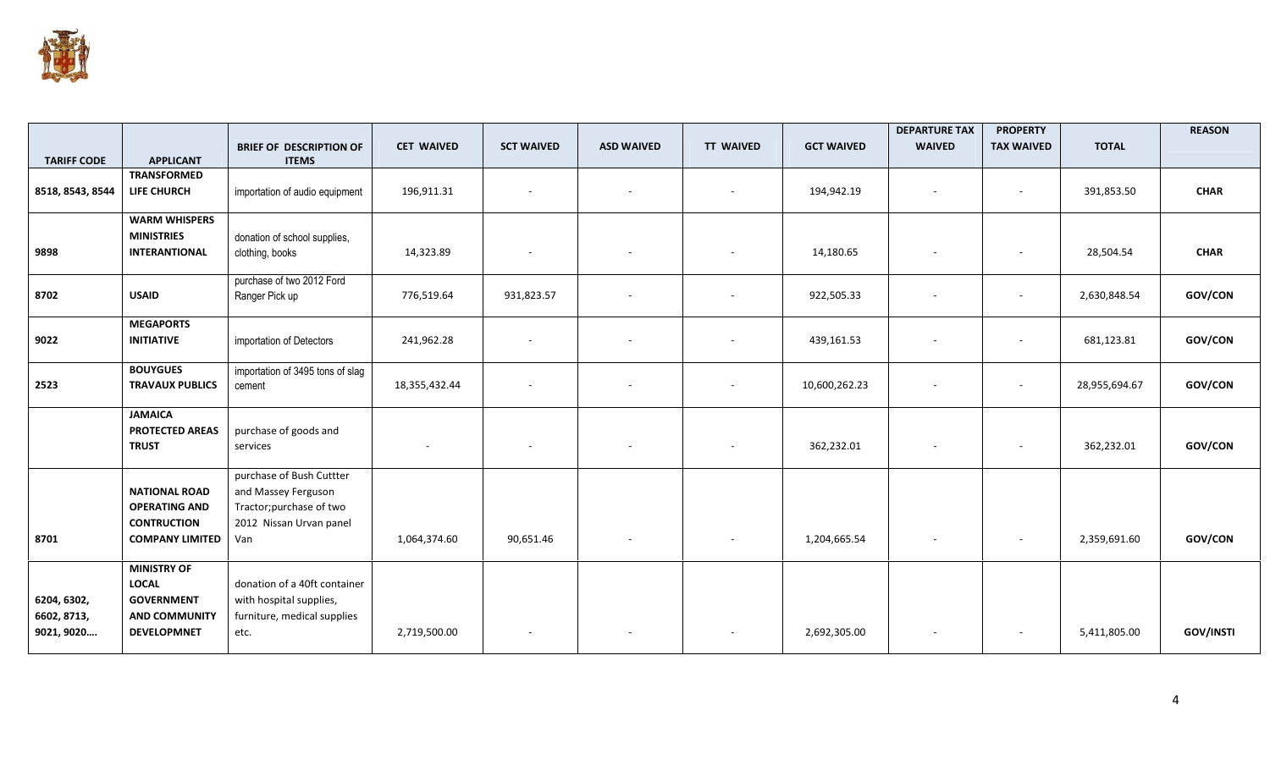

| <b>TARIFF CODE</b>                       | <b>APPLICANT</b>                                                                                      | <b>BRIEF OF DESCRIPTION OF</b><br><b>ITEMS</b>                                                                | <b>CET WAIVED</b> | <b>SCT WAIVED</b>        | <b>ASD WAIVED</b>        | <b>TT WAIVED</b>         | <b>GCT WAIVED</b> | <b>DEPARTURE TAX</b><br><b>WAIVED</b> | <b>PROPERTY</b><br><b>TAX WAIVED</b> | <b>TOTAL</b>  | <b>REASON</b>    |
|------------------------------------------|-------------------------------------------------------------------------------------------------------|---------------------------------------------------------------------------------------------------------------|-------------------|--------------------------|--------------------------|--------------------------|-------------------|---------------------------------------|--------------------------------------|---------------|------------------|
| 8518, 8543, 8544                         | <b>TRANSFORMED</b><br><b>LIFE CHURCH</b>                                                              | importation of audio equipment                                                                                | 196,911.31        | $\overline{\phantom{a}}$ | $\overline{\phantom{a}}$ |                          | 194,942.19        |                                       | $\overline{\phantom{a}}$             | 391,853.50    | <b>CHAR</b>      |
| 9898                                     | <b>WARM WHISPERS</b><br><b>MINISTRIES</b><br><b>INTERANTIONAL</b>                                     | donation of school supplies,<br>clothing, books                                                               | 14,323.89         | $\overline{\phantom{a}}$ |                          |                          | 14,180.65         |                                       | $\overline{\phantom{a}}$             | 28,504.54     | <b>CHAR</b>      |
| 8702                                     | <b>USAID</b>                                                                                          | purchase of two 2012 Ford<br>Ranger Pick up                                                                   | 776,519.64        | 931,823.57               |                          |                          | 922,505.33        |                                       | $\overline{\phantom{a}}$             | 2,630,848.54  | GOV/CON          |
| 9022                                     | <b>MEGAPORTS</b><br><b>INITIATIVE</b>                                                                 | importation of Detectors                                                                                      | 241,962.28        | $\overline{\phantom{a}}$ |                          | $\overline{\phantom{a}}$ | 439,161.53        |                                       | $\overline{\phantom{a}}$             | 681,123.81    | GOV/CON          |
| 2523                                     | <b>BOUYGUES</b><br><b>TRAVAUX PUBLICS</b>                                                             | importation of 3495 tons of slag<br>cement                                                                    | 18,355,432.44     | $\overline{\phantom{a}}$ |                          |                          | 10,600,262.23     |                                       | $\overline{\phantom{a}}$             | 28,955,694.67 | GOV/CON          |
|                                          | <b>JAMAICA</b><br><b>PROTECTED AREAS</b><br><b>TRUST</b>                                              | purchase of goods and<br>services                                                                             |                   |                          |                          |                          | 362,232.01        |                                       | $\overline{\phantom{a}}$             | 362,232.01    | GOV/CON          |
| 8701                                     | <b>NATIONAL ROAD</b><br><b>OPERATING AND</b><br><b>CONTRUCTION</b><br><b>COMPANY LIMITED</b>          | purchase of Bush Cuttter<br>and Massey Ferguson<br>Tractor; purchase of two<br>2012 Nissan Urvan panel<br>Van | 1,064,374.60      | 90,651.46                | $\sim$                   |                          | 1,204,665.54      | $\overline{\phantom{a}}$              | $\overline{\phantom{a}}$             | 2,359,691.60  | GOV/CON          |
| 6204, 6302,<br>6602, 8713,<br>9021, 9020 | <b>MINISTRY OF</b><br><b>LOCAL</b><br><b>GOVERNMENT</b><br><b>AND COMMUNITY</b><br><b>DEVELOPMNET</b> | donation of a 40ft container<br>with hospital supplies,<br>furniture, medical supplies<br>etc.                | 2,719,500.00      |                          |                          |                          | 2,692,305.00      |                                       | $\overline{\phantom{a}}$             | 5,411,805.00  | <b>GOV/INSTI</b> |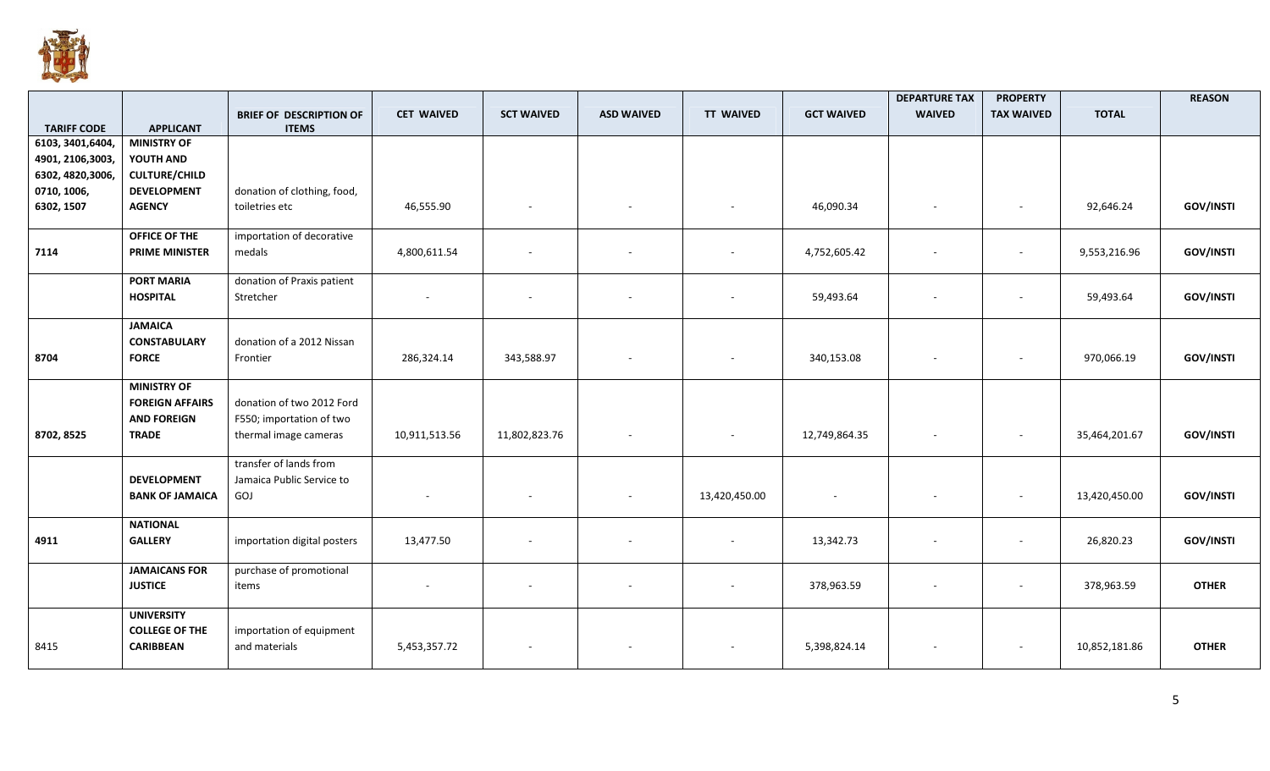

|                                         |                                                                                    |                                                                                |                   |                          |                   |                  |                   | <b>DEPARTURE TAX</b>     | <b>PROPERTY</b>          |               | <b>REASON</b>    |
|-----------------------------------------|------------------------------------------------------------------------------------|--------------------------------------------------------------------------------|-------------------|--------------------------|-------------------|------------------|-------------------|--------------------------|--------------------------|---------------|------------------|
|                                         |                                                                                    | <b>BRIEF OF DESCRIPTION OF</b>                                                 | <b>CET WAIVED</b> | <b>SCT WAIVED</b>        | <b>ASD WAIVED</b> | <b>TT WAIVED</b> | <b>GCT WAIVED</b> | <b>WAIVED</b>            | <b>TAX WAIVED</b>        | <b>TOTAL</b>  |                  |
| <b>TARIFF CODE</b><br>6103, 3401, 6404, | <b>APPLICANT</b><br><b>MINISTRY OF</b>                                             | <b>ITEMS</b>                                                                   |                   |                          |                   |                  |                   |                          |                          |               |                  |
| 4901, 2106, 3003,                       | YOUTH AND                                                                          |                                                                                |                   |                          |                   |                  |                   |                          |                          |               |                  |
| 6302, 4820, 3006,                       | <b>CULTURE/CHILD</b>                                                               |                                                                                |                   |                          |                   |                  |                   |                          |                          |               |                  |
| 0710, 1006,                             | <b>DEVELOPMENT</b>                                                                 | donation of clothing, food,                                                    |                   |                          |                   |                  |                   |                          |                          |               |                  |
| 6302, 1507                              | <b>AGENCY</b>                                                                      | toiletries etc                                                                 | 46,555.90         | $\overline{\phantom{a}}$ |                   |                  | 46,090.34         |                          | $\overline{\phantom{a}}$ | 92,646.24     | <b>GOV/INSTI</b> |
| 7114                                    | OFFICE OF THE<br><b>PRIME MINISTER</b>                                             | importation of decorative<br>medals                                            | 4,800,611.54      |                          |                   |                  | 4,752,605.42      |                          |                          | 9,553,216.96  | <b>GOV/INSTI</b> |
|                                         | <b>PORT MARIA</b><br><b>HOSPITAL</b>                                               | donation of Praxis patient<br>Stretcher                                        |                   | $\overline{\phantom{a}}$ |                   |                  | 59,493.64         | $\overline{\phantom{a}}$ | $\sim$                   | 59,493.64     | <b>GOV/INSTI</b> |
| 8704                                    | <b>JAMAICA</b><br><b>CONSTABULARY</b><br><b>FORCE</b>                              | donation of a 2012 Nissan<br>Frontier                                          | 286,324.14        | 343,588.97               |                   |                  | 340,153.08        |                          | $\overline{\phantom{a}}$ | 970,066.19    | <b>GOV/INSTI</b> |
| 8702, 8525                              | <b>MINISTRY OF</b><br><b>FOREIGN AFFAIRS</b><br><b>AND FOREIGN</b><br><b>TRADE</b> | donation of two 2012 Ford<br>F550; importation of two<br>thermal image cameras | 10,911,513.56     | 11,802,823.76            | $\sim$            |                  | 12,749,864.35     | $\overline{\phantom{a}}$ | $\overline{\phantom{a}}$ | 35,464,201.67 | <b>GOV/INSTI</b> |
|                                         | <b>DEVELOPMENT</b><br><b>BANK OF JAMAICA</b>                                       | transfer of lands from<br>Jamaica Public Service to<br>GOJ                     |                   | $\overline{\phantom{a}}$ |                   | 13,420,450.00    |                   |                          | $\sim$                   | 13,420,450.00 | <b>GOV/INSTI</b> |
| 4911                                    | <b>NATIONAL</b><br><b>GALLERY</b>                                                  | importation digital posters                                                    | 13,477.50         |                          |                   |                  | 13,342.73         |                          | $\overline{\phantom{a}}$ | 26,820.23     | <b>GOV/INSTI</b> |
|                                         | <b>JAMAICANS FOR</b><br><b>JUSTICE</b>                                             | purchase of promotional<br>items                                               |                   |                          |                   |                  | 378,963.59        |                          | $\overline{\phantom{a}}$ | 378,963.59    | <b>OTHER</b>     |
| 8415                                    | <b>UNIVERSITY</b><br><b>COLLEGE OF THE</b><br><b>CARIBBEAN</b>                     | importation of equipment<br>and materials                                      | 5,453,357.72      |                          |                   |                  | 5,398,824.14      |                          | $\overline{\phantom{a}}$ | 10,852,181.86 | <b>OTHER</b>     |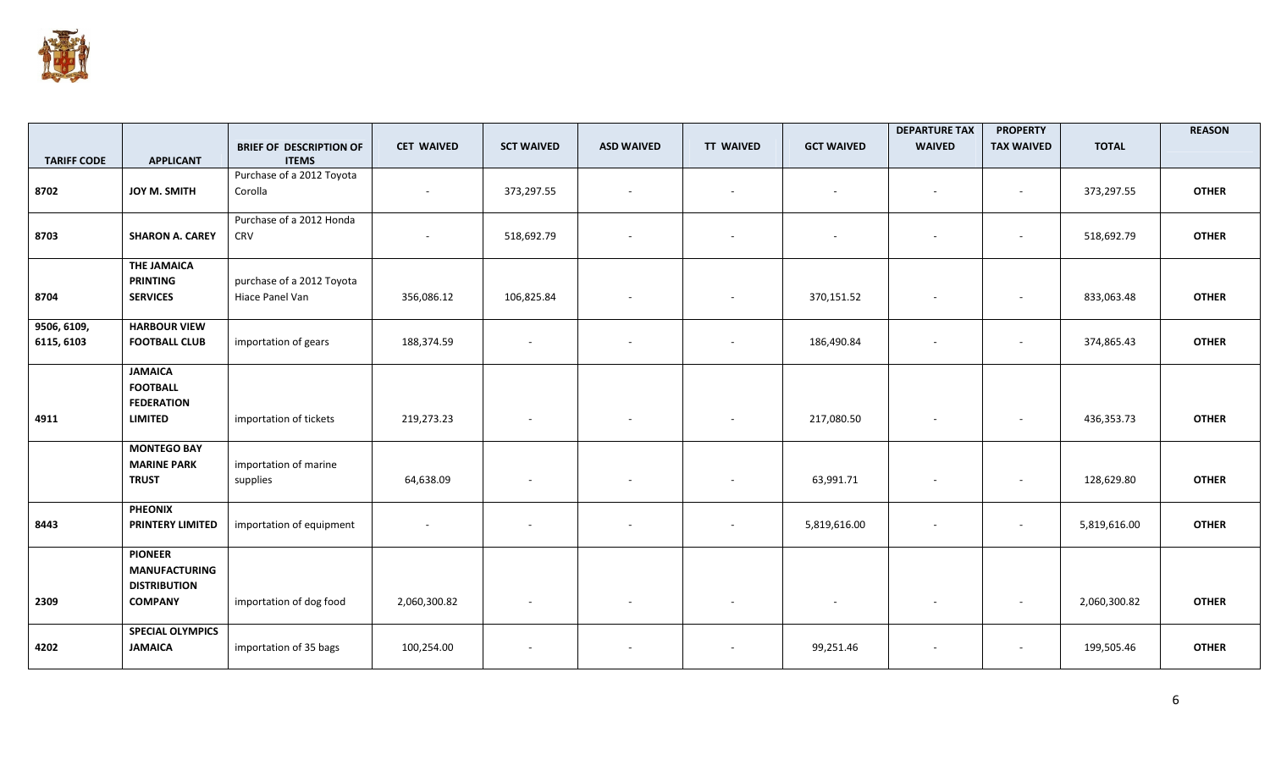

|                           |                                                                                 | <b>BRIEF OF DESCRIPTION OF</b>               | <b>CET WAIVED</b> | <b>SCT WAIVED</b>        | <b>ASD WAIVED</b>        | <b>TT WAIVED</b>         | <b>GCT WAIVED</b> | <b>DEPARTURE TAX</b><br><b>WAIVED</b> | <b>PROPERTY</b><br><b>TAX WAIVED</b> | <b>TOTAL</b> | <b>REASON</b> |
|---------------------------|---------------------------------------------------------------------------------|----------------------------------------------|-------------------|--------------------------|--------------------------|--------------------------|-------------------|---------------------------------------|--------------------------------------|--------------|---------------|
| <b>TARIFF CODE</b>        | <b>APPLICANT</b>                                                                | <b>ITEMS</b>                                 |                   |                          |                          |                          |                   |                                       |                                      |              |               |
| 8702                      | JOY M. SMITH                                                                    | Purchase of a 2012 Toyota<br>Corolla         |                   | 373,297.55               | $\sim$                   | $\blacksquare$           | $\sim$            |                                       | $\sim$                               | 373,297.55   | <b>OTHER</b>  |
| 8703                      | <b>SHARON A. CAREY</b>                                                          | Purchase of a 2012 Honda<br><b>CRV</b>       |                   | 518,692.79               | $\sim$                   | $\overline{\phantom{a}}$ | $\sim$            |                                       | $\overline{\phantom{a}}$             | 518,692.79   | <b>OTHER</b>  |
| 8704                      | <b>THE JAMAICA</b><br><b>PRINTING</b><br><b>SERVICES</b>                        | purchase of a 2012 Toyota<br>Hiace Panel Van | 356,086.12        | 106,825.84               | $\overline{\phantom{a}}$ | $\overline{\phantom{a}}$ | 370,151.52        | $\overline{\phantom{a}}$              | $\overline{\phantom{a}}$             | 833,063.48   | <b>OTHER</b>  |
| 9506, 6109,<br>6115, 6103 | <b>HARBOUR VIEW</b><br><b>FOOTBALL CLUB</b>                                     | importation of gears                         | 188,374.59        | $\sim$                   | $\overline{\phantom{a}}$ | $\overline{\phantom{a}}$ | 186,490.84        | $\overline{\phantom{a}}$              | $\overline{\phantom{a}}$             | 374,865.43   | <b>OTHER</b>  |
| 4911                      | <b>JAMAICA</b><br><b>FOOTBALL</b><br><b>FEDERATION</b><br><b>LIMITED</b>        | importation of tickets                       | 219,273.23        | $\overline{\phantom{a}}$ | $\overline{\phantom{a}}$ | $\overline{\phantom{a}}$ | 217,080.50        | $\overline{\phantom{a}}$              | $\overline{\phantom{a}}$             | 436,353.73   | <b>OTHER</b>  |
|                           | <b>MONTEGO BAY</b><br><b>MARINE PARK</b><br><b>TRUST</b>                        | importation of marine<br>supplies            | 64,638.09         | $\sim$                   | $\blacksquare$           | $\blacksquare$           | 63,991.71         |                                       | $\blacksquare$                       | 128,629.80   | <b>OTHER</b>  |
| 8443                      | <b>PHEONIX</b><br><b>PRINTERY LIMITED</b>                                       | importation of equipment                     | $\sim$            | $\sim$                   | $\overline{\phantom{a}}$ | $\overline{\phantom{a}}$ | 5,819,616.00      | $\overline{\phantom{a}}$              | $\sim$                               | 5,819,616.00 | <b>OTHER</b>  |
| 2309                      | <b>PIONEER</b><br><b>MANUFACTURING</b><br><b>DISTRIBUTION</b><br><b>COMPANY</b> | importation of dog food                      | 2,060,300.82      | $\sim$                   | $\overline{\phantom{a}}$ | $\overline{\phantom{a}}$ | $\sim$            | $\overline{\phantom{a}}$              | $\overline{\phantom{a}}$             | 2,060,300.82 | <b>OTHER</b>  |
| 4202                      | <b>SPECIAL OLYMPICS</b><br><b>JAMAICA</b>                                       | importation of 35 bags                       | 100,254.00        |                          |                          |                          | 99,251.46         |                                       |                                      | 199,505.46   | <b>OTHER</b>  |

6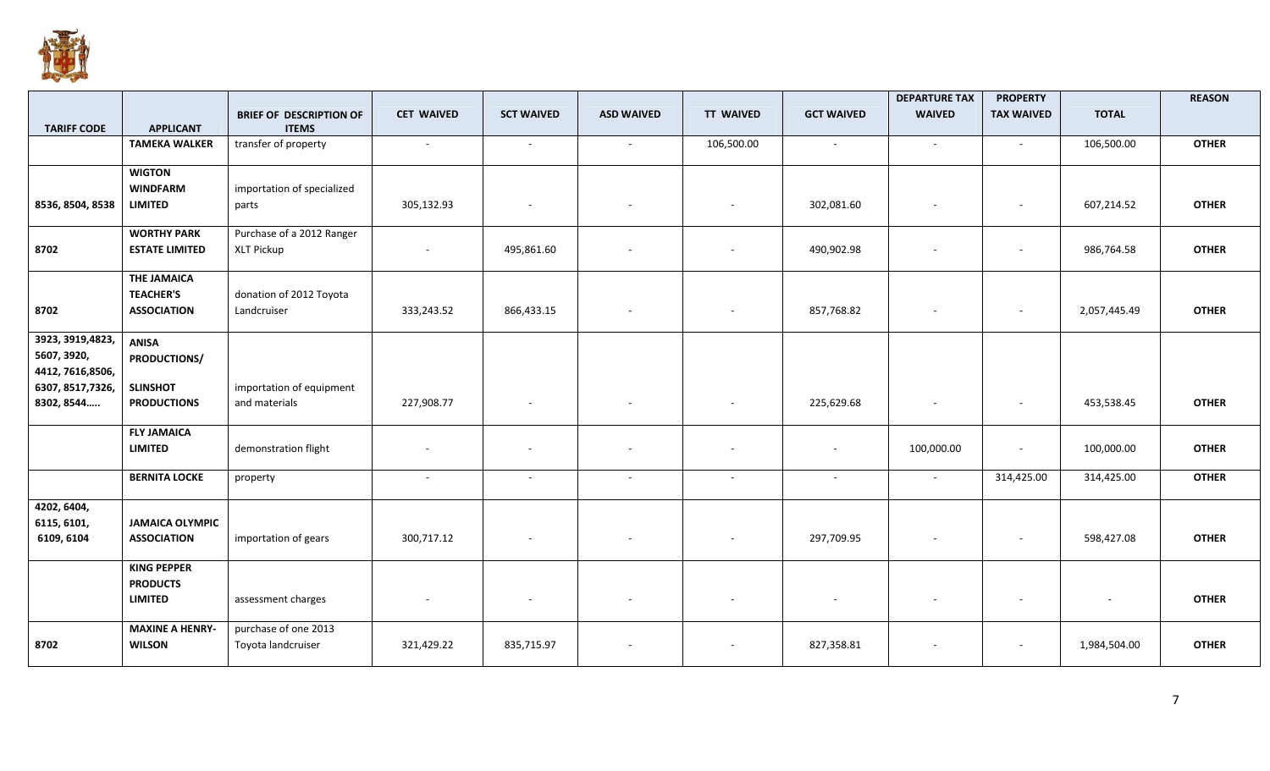

|                    |                        |                                |                   |                   |                          |                          |                          | <b>DEPARTURE TAX</b>     | <b>PROPERTY</b>          |              | <b>REASON</b> |
|--------------------|------------------------|--------------------------------|-------------------|-------------------|--------------------------|--------------------------|--------------------------|--------------------------|--------------------------|--------------|---------------|
|                    |                        | <b>BRIEF OF DESCRIPTION OF</b> | <b>CET WAIVED</b> | <b>SCT WAIVED</b> | <b>ASD WAIVED</b>        | <b>TT WAIVED</b>         | <b>GCT WAIVED</b>        | <b>WAIVED</b>            | <b>TAX WAIVED</b>        | <b>TOTAL</b> |               |
| <b>TARIFF CODE</b> | <b>APPLICANT</b>       | <b>ITEMS</b>                   |                   |                   |                          |                          |                          |                          |                          |              |               |
|                    | <b>TAMEKA WALKER</b>   | transfer of property           | $\sim$            | $\sim$            | $\blacksquare$           | 106,500.00               | $\overline{\phantom{a}}$ | $\blacksquare$           | $\sim$                   | 106,500.00   | <b>OTHER</b>  |
|                    | <b>WIGTON</b>          |                                |                   |                   |                          |                          |                          |                          |                          |              |               |
|                    | <b>WINDFARM</b>        | importation of specialized     |                   |                   |                          |                          |                          |                          |                          |              |               |
| 8536, 8504, 8538   | <b>LIMITED</b>         | parts                          | 305,132.93        |                   |                          |                          | 302,081.60               |                          | ٠                        | 607,214.52   | <b>OTHER</b>  |
|                    |                        |                                |                   |                   |                          |                          |                          |                          |                          |              |               |
|                    | <b>WORTHY PARK</b>     | Purchase of a 2012 Ranger      |                   |                   |                          |                          |                          |                          |                          |              |               |
| 8702               | <b>ESTATE LIMITED</b>  | <b>XLT Pickup</b>              | $\sim$            | 495,861.60        | $\blacksquare$           | $\sim$                   | 490,902.98               |                          | $\blacksquare$           | 986,764.58   | <b>OTHER</b>  |
|                    |                        |                                |                   |                   |                          |                          |                          |                          |                          |              |               |
|                    | <b>THE JAMAICA</b>     |                                |                   |                   |                          |                          |                          |                          |                          |              |               |
|                    | <b>TEACHER'S</b>       | donation of 2012 Toyota        |                   |                   |                          |                          |                          |                          |                          |              |               |
| 8702               | <b>ASSOCIATION</b>     | Landcruiser                    | 333,243.52        | 866,433.15        | $\overline{\phantom{a}}$ | $\overline{\phantom{a}}$ | 857,768.82               |                          | $\overline{\phantom{a}}$ | 2,057,445.49 | <b>OTHER</b>  |
|                    |                        |                                |                   |                   |                          |                          |                          |                          |                          |              |               |
| 3923, 3919, 4823,  | <b>ANISA</b>           |                                |                   |                   |                          |                          |                          |                          |                          |              |               |
| 5607, 3920,        | <b>PRODUCTIONS/</b>    |                                |                   |                   |                          |                          |                          |                          |                          |              |               |
| 4412, 7616,8506,   |                        |                                |                   |                   |                          |                          |                          |                          |                          |              |               |
| 6307, 8517, 7326,  | <b>SLINSHOT</b>        | importation of equipment       |                   |                   |                          |                          |                          |                          |                          |              |               |
| 8302, 8544         | <b>PRODUCTIONS</b>     | and materials                  | 227,908.77        | $\sim$            | $\overline{\phantom{a}}$ | $\overline{\phantom{a}}$ | 225,629.68               | $\overline{\phantom{a}}$ | $\overline{\phantom{a}}$ | 453,538.45   | <b>OTHER</b>  |
|                    |                        |                                |                   |                   |                          |                          |                          |                          |                          |              |               |
|                    | <b>FLY JAMAICA</b>     |                                |                   |                   |                          |                          |                          |                          |                          |              |               |
|                    | <b>LIMITED</b>         | demonstration flight           |                   |                   |                          |                          | $\sim$                   | 100,000.00               | $\overline{\phantom{a}}$ | 100,000.00   | <b>OTHER</b>  |
|                    |                        |                                |                   |                   |                          |                          |                          |                          |                          |              |               |
|                    | <b>BERNITA LOCKE</b>   | property                       | $\sim$            | $\sim$            | $\sim$                   | $\sim$                   | $\sim$                   | $\overline{\phantom{a}}$ | 314,425.00               | 314,425.00   | <b>OTHER</b>  |
|                    |                        |                                |                   |                   |                          |                          |                          |                          |                          |              |               |
| 4202, 6404,        |                        |                                |                   |                   |                          |                          |                          |                          |                          |              |               |
| 6115, 6101,        | <b>JAMAICA OLYMPIC</b> |                                |                   |                   |                          |                          |                          |                          |                          |              |               |
| 6109, 6104         | <b>ASSOCIATION</b>     | importation of gears           | 300,717.12        | $\sim$            | $\overline{\phantom{a}}$ | $\overline{\phantom{a}}$ | 297,709.95               | $\overline{\phantom{a}}$ | $\overline{\phantom{a}}$ | 598,427.08   | <b>OTHER</b>  |
|                    |                        |                                |                   |                   |                          |                          |                          |                          |                          |              |               |
|                    | <b>KING PEPPER</b>     |                                |                   |                   |                          |                          |                          |                          |                          |              |               |
|                    | <b>PRODUCTS</b>        |                                |                   |                   |                          |                          |                          |                          |                          |              |               |
|                    | <b>LIMITED</b>         | assessment charges             |                   |                   | $\blacksquare$           | $\blacksquare$           |                          |                          | ٠                        |              | <b>OTHER</b>  |
|                    |                        |                                |                   |                   |                          |                          |                          |                          |                          |              |               |
|                    | <b>MAXINE A HENRY-</b> | purchase of one 2013           |                   |                   |                          |                          |                          |                          |                          |              |               |
| 8702               | <b>WILSON</b>          | Toyota landcruiser             | 321,429.22        | 835,715.97        |                          |                          | 827,358.81               |                          | ٠                        | 1,984,504.00 | <b>OTHER</b>  |
|                    |                        |                                |                   |                   |                          |                          |                          |                          |                          |              |               |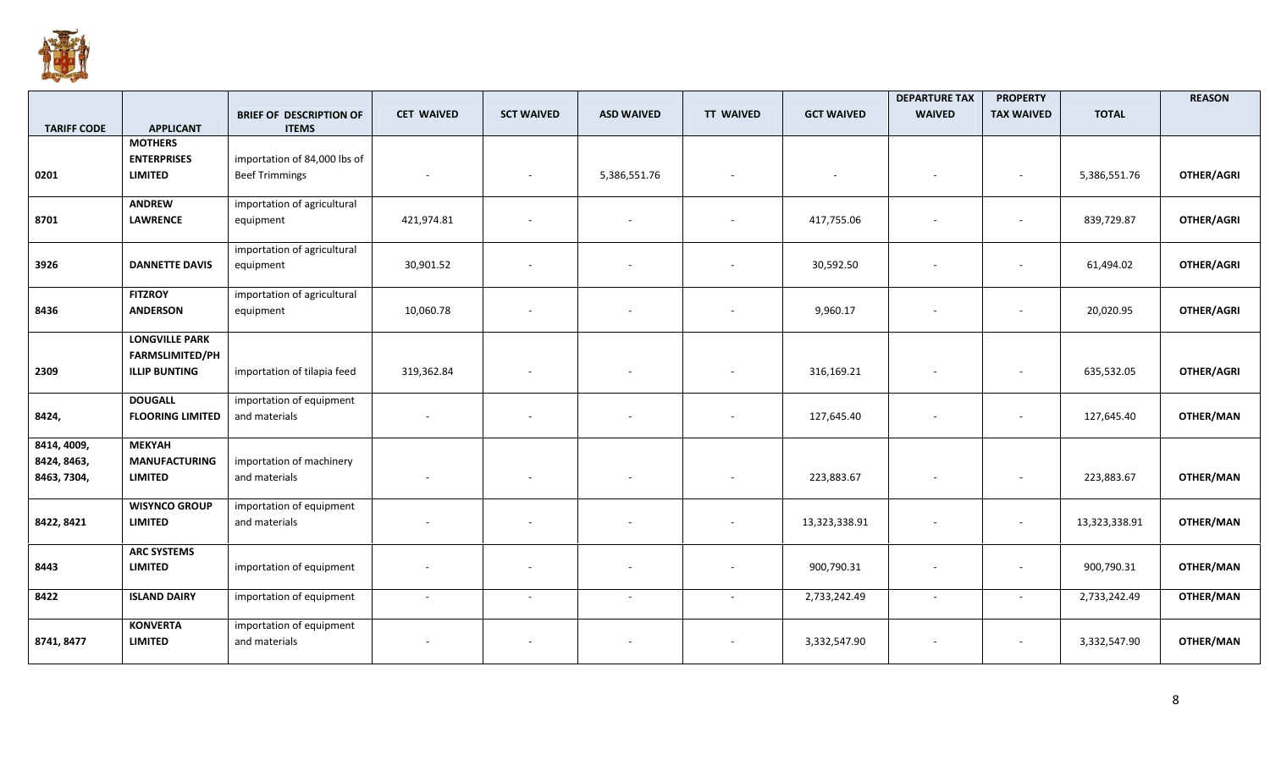

|                    |                                                |                                                |                   |                          |                          |                  |                   | <b>DEPARTURE TAX</b>     | <b>PROPERTY</b>          |               | <b>REASON</b> |
|--------------------|------------------------------------------------|------------------------------------------------|-------------------|--------------------------|--------------------------|------------------|-------------------|--------------------------|--------------------------|---------------|---------------|
|                    | <b>APPLICANT</b>                               | <b>BRIEF OF DESCRIPTION OF</b><br><b>ITEMS</b> | <b>CET WAIVED</b> | <b>SCT WAIVED</b>        | <b>ASD WAIVED</b>        | <b>TT WAIVED</b> | <b>GCT WAIVED</b> | <b>WAIVED</b>            | <b>TAX WAIVED</b>        | <b>TOTAL</b>  |               |
| <b>TARIFF CODE</b> | <b>MOTHERS</b>                                 |                                                |                   |                          |                          |                  |                   |                          |                          |               |               |
|                    | <b>ENTERPRISES</b>                             | importation of 84,000 lbs of                   |                   |                          |                          |                  |                   |                          |                          |               |               |
| 0201               | <b>LIMITED</b>                                 | <b>Beef Trimmings</b>                          |                   |                          | 5,386,551.76             |                  |                   |                          |                          | 5,386,551.76  | OTHER/AGRI    |
|                    |                                                |                                                |                   |                          |                          |                  |                   |                          |                          |               |               |
|                    | <b>ANDREW</b>                                  | importation of agricultural                    |                   |                          |                          |                  |                   |                          |                          |               |               |
| 8701               | <b>LAWRENCE</b>                                | equipment                                      | 421,974.81        | $\overline{\phantom{a}}$ |                          |                  | 417,755.06        | $\overline{\phantom{a}}$ | $\overline{\phantom{a}}$ | 839,729.87    | OTHER/AGRI    |
|                    |                                                | importation of agricultural                    |                   |                          |                          |                  |                   |                          |                          |               |               |
| 3926               | <b>DANNETTE DAVIS</b>                          | equipment                                      | 30,901.52         | $\overline{\phantom{a}}$ |                          |                  | 30,592.50         |                          | $\sim$                   | 61,494.02     | OTHER/AGRI    |
|                    |                                                |                                                |                   |                          |                          |                  |                   |                          |                          |               |               |
|                    | <b>FITZROY</b>                                 | importation of agricultural                    |                   |                          |                          |                  |                   |                          |                          |               |               |
| 8436               | <b>ANDERSON</b>                                | equipment                                      | 10,060.78         | $\overline{\phantom{a}}$ |                          |                  | 9,960.17          | $\blacksquare$           | $\sim$                   | 20,020.95     | OTHER/AGRI    |
|                    |                                                |                                                |                   |                          |                          |                  |                   |                          |                          |               |               |
|                    | <b>LONGVILLE PARK</b>                          |                                                |                   |                          |                          |                  |                   |                          |                          |               |               |
| 2309               | <b>FARMSLIMITED/PH</b><br><b>ILLIP BUNTING</b> | importation of tilapia feed                    | 319,362.84        |                          |                          |                  | 316,169.21        |                          | $\overline{\phantom{a}}$ | 635,532.05    | OTHER/AGRI    |
|                    |                                                |                                                |                   |                          |                          |                  |                   |                          |                          |               |               |
|                    | <b>DOUGALL</b>                                 | importation of equipment                       |                   |                          |                          |                  |                   |                          |                          |               |               |
| 8424,              | <b>FLOORING LIMITED</b>                        | and materials                                  |                   |                          |                          |                  | 127,645.40        |                          | ۰.                       | 127,645.40    | OTHER/MAN     |
|                    |                                                |                                                |                   |                          |                          |                  |                   |                          |                          |               |               |
| 8414, 4009,        | <b>MEKYAH</b>                                  |                                                |                   |                          |                          |                  |                   |                          |                          |               |               |
| 8424, 8463,        | <b>MANUFACTURING</b>                           | importation of machinery                       |                   |                          |                          |                  |                   |                          |                          |               |               |
| 8463, 7304,        | <b>LIMITED</b>                                 | and materials                                  |                   | $\overline{\phantom{a}}$ | $\overline{\phantom{0}}$ |                  | 223,883.67        |                          | $\overline{\phantom{a}}$ | 223,883.67    | OTHER/MAN     |
|                    | <b>WISYNCO GROUP</b>                           | importation of equipment                       |                   |                          |                          |                  |                   |                          |                          |               |               |
| 8422, 8421         | <b>LIMITED</b>                                 | and materials                                  |                   | $\overline{\phantom{a}}$ |                          |                  | 13,323,338.91     |                          | $\overline{\phantom{a}}$ | 13,323,338.91 | OTHER/MAN     |
|                    |                                                |                                                |                   |                          |                          |                  |                   |                          |                          |               |               |
|                    | <b>ARC SYSTEMS</b>                             |                                                |                   |                          |                          |                  |                   |                          |                          |               |               |
| 8443               | <b>LIMITED</b>                                 | importation of equipment                       |                   |                          |                          |                  | 900,790.31        |                          | ٠                        | 900,790.31    | OTHER/MAN     |
| 8422               | <b>ISLAND DAIRY</b>                            | importation of equipment                       | $\sim$            | $\overline{\phantom{a}}$ | $\overline{a}$           |                  | 2,733,242.49      | $\blacksquare$           | $\sim$                   | 2,733,242.49  | OTHER/MAN     |
|                    |                                                |                                                |                   |                          |                          |                  |                   |                          |                          |               |               |
|                    | <b>KONVERTA</b>                                | importation of equipment                       |                   |                          |                          |                  |                   |                          |                          |               |               |
| 8741, 8477         | <b>LIMITED</b>                                 | and materials                                  |                   |                          |                          |                  | 3,332,547.90      |                          | ۰.                       | 3,332,547.90  | OTHER/MAN     |
|                    |                                                |                                                |                   |                          |                          |                  |                   |                          |                          |               |               |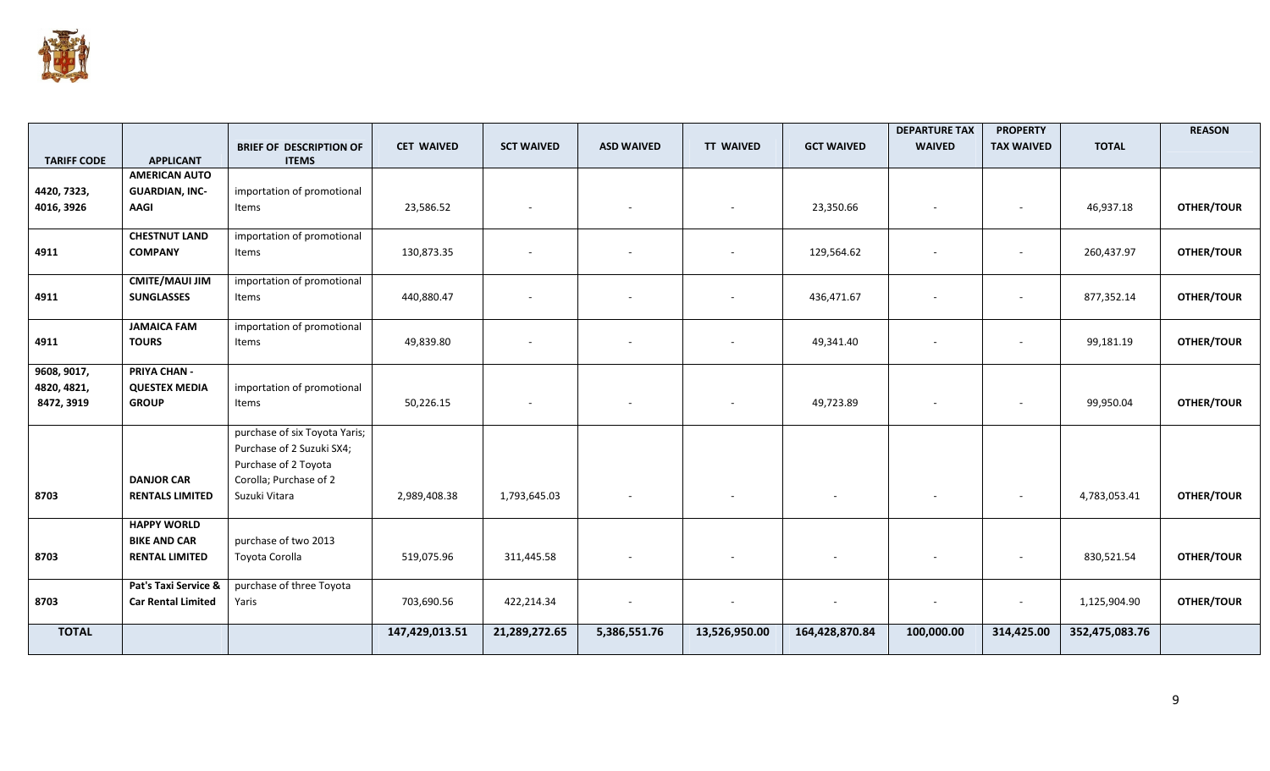

| <b>TARIFF CODE</b> | <b>APPLICANT</b>          | <b>BRIEF OF DESCRIPTION OF</b><br><b>ITEMS</b> | <b>CET WAIVED</b> | <b>SCT WAIVED</b>        | <b>ASD WAIVED</b>        | <b>TT WAIVED</b> | <b>GCT WAIVED</b> | <b>DEPARTURE TAX</b><br><b>WAIVED</b> | <b>PROPERTY</b><br><b>TAX WAIVED</b> | <b>TOTAL</b>   | <b>REASON</b>     |
|--------------------|---------------------------|------------------------------------------------|-------------------|--------------------------|--------------------------|------------------|-------------------|---------------------------------------|--------------------------------------|----------------|-------------------|
|                    | <b>AMERICAN AUTO</b>      |                                                |                   |                          |                          |                  |                   |                                       |                                      |                |                   |
| 4420, 7323,        | <b>GUARDIAN, INC-</b>     | importation of promotional                     |                   |                          |                          |                  |                   |                                       |                                      |                |                   |
| 4016, 3926         | AAGI                      | Items                                          | 23,586.52         | $\overline{\phantom{a}}$ |                          |                  | 23,350.66         |                                       | $\overline{\phantom{a}}$             | 46,937.18      | <b>OTHER/TOUR</b> |
|                    | <b>CHESTNUT LAND</b>      | importation of promotional                     |                   |                          |                          |                  |                   |                                       |                                      |                |                   |
| 4911               | <b>COMPANY</b>            | Items                                          | 130,873.35        | $\overline{\phantom{a}}$ |                          |                  | 129,564.62        |                                       | $\overline{\phantom{0}}$             | 260,437.97     | <b>OTHER/TOUR</b> |
|                    | <b>CMITE/MAUI JIM</b>     | importation of promotional                     |                   |                          |                          |                  |                   |                                       |                                      |                |                   |
| 4911               | <b>SUNGLASSES</b>         | Items                                          | 440,880.47        | $\overline{\phantom{a}}$ |                          |                  | 436,471.67        | $\overline{\phantom{a}}$              | $\overline{\phantom{a}}$             | 877,352.14     | <b>OTHER/TOUR</b> |
|                    | <b>JAMAICA FAM</b>        | importation of promotional                     |                   |                          |                          |                  |                   |                                       |                                      |                |                   |
| 4911               | <b>TOURS</b>              | Items                                          | 49,839.80         | $\overline{\phantom{a}}$ | $\overline{\phantom{a}}$ |                  | 49,341.40         |                                       | $\overline{\phantom{a}}$             | 99,181.19      | <b>OTHER/TOUR</b> |
| 9608, 9017,        | <b>PRIYA CHAN -</b>       |                                                |                   |                          |                          |                  |                   |                                       |                                      |                |                   |
| 4820, 4821,        | <b>QUESTEX MEDIA</b>      | importation of promotional                     |                   |                          |                          |                  |                   |                                       |                                      |                |                   |
| 8472, 3919         | <b>GROUP</b>              | Items                                          | 50,226.15         | $\overline{\phantom{a}}$ |                          |                  | 49,723.89         |                                       | $\overline{\phantom{a}}$             | 99,950.04      | <b>OTHER/TOUR</b> |
|                    |                           | purchase of six Toyota Yaris;                  |                   |                          |                          |                  |                   |                                       |                                      |                |                   |
|                    |                           | Purchase of 2 Suzuki SX4;                      |                   |                          |                          |                  |                   |                                       |                                      |                |                   |
|                    | <b>DANJOR CAR</b>         | Purchase of 2 Toyota<br>Corolla; Purchase of 2 |                   |                          |                          |                  |                   |                                       |                                      |                |                   |
| 8703               | <b>RENTALS LIMITED</b>    | Suzuki Vitara                                  | 2,989,408.38      | 1,793,645.03             | $\sim$                   |                  |                   |                                       | $\overline{\phantom{a}}$             | 4,783,053.41   | <b>OTHER/TOUR</b> |
|                    |                           |                                                |                   |                          |                          |                  |                   |                                       |                                      |                |                   |
|                    | <b>HAPPY WORLD</b>        |                                                |                   |                          |                          |                  |                   |                                       |                                      |                |                   |
|                    | <b>BIKE AND CAR</b>       | purchase of two 2013                           |                   |                          |                          |                  |                   |                                       |                                      |                |                   |
| 8703               | <b>RENTAL LIMITED</b>     | Toyota Corolla                                 | 519,075.96        | 311,445.58               |                          |                  |                   |                                       | $\overline{\phantom{a}}$             | 830,521.54     | <b>OTHER/TOUR</b> |
|                    | Pat's Taxi Service &      | purchase of three Toyota                       |                   |                          |                          |                  |                   |                                       |                                      |                |                   |
| 8703               | <b>Car Rental Limited</b> | Yaris                                          | 703,690.56        | 422,214.34               |                          |                  |                   | $\overline{\phantom{m}}$              | $\overline{\phantom{a}}$             | 1,125,904.90   | <b>OTHER/TOUR</b> |
| <b>TOTAL</b>       |                           |                                                | 147,429,013.51    | 21,289,272.65            | 5,386,551.76             | 13,526,950.00    | 164,428,870.84    | 100,000.00                            | 314,425.00                           | 352,475,083.76 |                   |